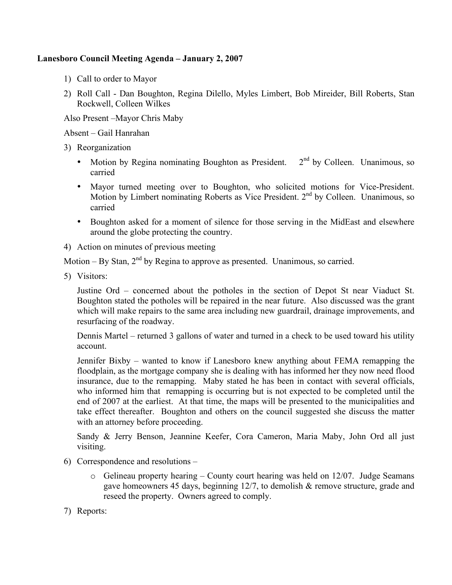## **Lanesboro Council Meeting Agenda – January 2, 2007**

- 1) Call to order to Mayor
- 2) Roll Call Dan Boughton, Regina Dilello, Myles Limbert, Bob Mireider, Bill Roberts, Stan Rockwell, Colleen Wilkes

Also Present –Mayor Chris Maby

Absent – Gail Hanrahan

- 3) Reorganization
	- Motion by Regina nominating Boughton as President.  $2<sup>nd</sup>$  by Colleen. Unanimous, so carried
	- Mayor turned meeting over to Boughton, who solicited motions for Vice-President. Motion by Limbert nominating Roberts as Vice President. 2<sup>nd</sup> by Colleen. Unanimous, so carried
	- Boughton asked for a moment of silence for those serving in the MidEast and elsewhere around the globe protecting the country.
- 4) Action on minutes of previous meeting

Motion – By Stan,  $2<sup>nd</sup>$  by Regina to approve as presented. Unanimous, so carried.

5) Visitors:

Justine Ord – concerned about the potholes in the section of Depot St near Viaduct St. Boughton stated the potholes will be repaired in the near future. Also discussed was the grant which will make repairs to the same area including new guardrail, drainage improvements, and resurfacing of the roadway.

Dennis Martel – returned 3 gallons of water and turned in a check to be used toward his utility account.

Jennifer Bixby – wanted to know if Lanesboro knew anything about FEMA remapping the floodplain, as the mortgage company she is dealing with has informed her they now need flood insurance, due to the remapping. Maby stated he has been in contact with several officials, who informed him that remapping is occurring but is not expected to be completed until the end of 2007 at the earliest. At that time, the maps will be presented to the municipalities and take effect thereafter. Boughton and others on the council suggested she discuss the matter with an attorney before proceeding.

Sandy & Jerry Benson, Jeannine Keefer, Cora Cameron, Maria Maby, John Ord all just visiting.

- 6) Correspondence and resolutions
	- $\circ$  Gelineau property hearing County court hearing was held on 12/07. Judge Seamans gave homeowners 45 days, beginning  $12/7$ , to demolish  $\&$  remove structure, grade and reseed the property. Owners agreed to comply.
- 7) Reports: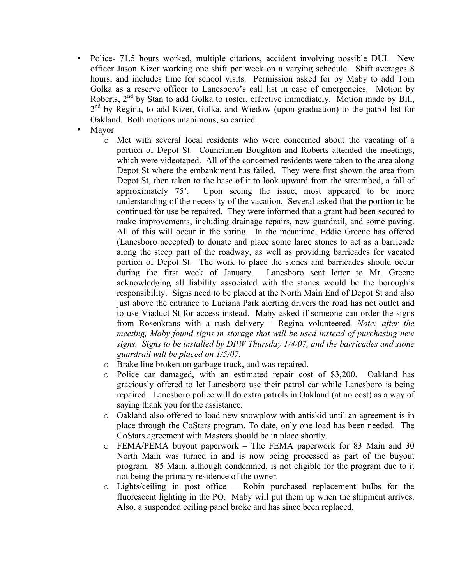- Police- 71.5 hours worked, multiple citations, accident involving possible DUI. New officer Jason Kizer working one shift per week on a varying schedule. Shift averages 8 hours, and includes time for school visits. Permission asked for by Maby to add Tom Golka as a reserve officer to Lanesboro's call list in case of emergencies. Motion by Roberts, 2<sup>nd</sup> by Stan to add Golka to roster, effective immediately. Motion made by Bill, 2<sup>nd</sup> by Regina, to add Kizer, Golka, and Wiedow (upon graduation) to the patrol list for Oakland. Both motions unanimous, so carried.
- Mayor
	- o Met with several local residents who were concerned about the vacating of a portion of Depot St. Councilmen Boughton and Roberts attended the meetings, which were videotaped. All of the concerned residents were taken to the area along Depot St where the embankment has failed. They were first shown the area from Depot St, then taken to the base of it to look upward from the streambed, a fall of approximately 75'. Upon seeing the issue, most appeared to be more understanding of the necessity of the vacation. Several asked that the portion to be continued for use be repaired. They were informed that a grant had been secured to make improvements, including drainage repairs, new guardrail, and some paving. All of this will occur in the spring. In the meantime, Eddie Greene has offered (Lanesboro accepted) to donate and place some large stones to act as a barricade along the steep part of the roadway, as well as providing barricades for vacated portion of Depot St. The work to place the stones and barricades should occur during the first week of January. Lanesboro sent letter to Mr. Greene acknowledging all liability associated with the stones would be the borough's responsibility. Signs need to be placed at the North Main End of Depot St and also just above the entrance to Luciana Park alerting drivers the road has not outlet and to use Viaduct St for access instead. Maby asked if someone can order the signs from Rosenkrans with a rush delivery – Regina volunteered. *Note: after the meeting, Maby found signs in storage that will be used instead of purchasing new signs. Signs to be installed by DPW Thursday 1/4/07, and the barricades and stone guardrail will be placed on 1/5/07.*
	- o Brake line broken on garbage truck, and was repaired.
	- o Police car damaged, with an estimated repair cost of \$3,200. Oakland has graciously offered to let Lanesboro use their patrol car while Lanesboro is being repaired. Lanesboro police will do extra patrols in Oakland (at no cost) as a way of saying thank you for the assistance.
	- o Oakland also offered to load new snowplow with antiskid until an agreement is in place through the CoStars program. To date, only one load has been needed. The CoStars agreement with Masters should be in place shortly.
	- o FEMA/PEMA buyout paperwork The FEMA paperwork for 83 Main and 30 North Main was turned in and is now being processed as part of the buyout program. 85 Main, although condemned, is not eligible for the program due to it not being the primary residence of the owner.
	- o Lights/ceiling in post office Robin purchased replacement bulbs for the fluorescent lighting in the PO. Maby will put them up when the shipment arrives. Also, a suspended ceiling panel broke and has since been replaced.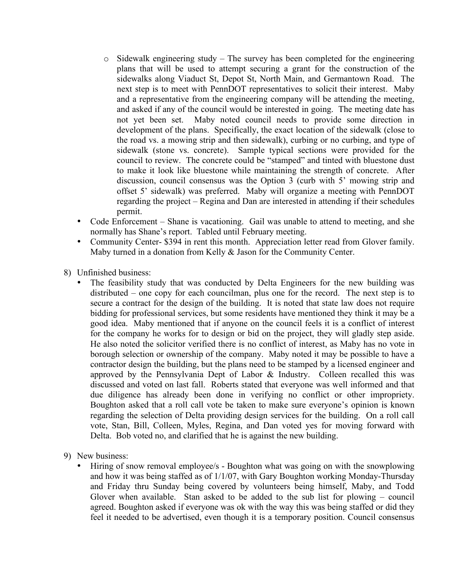- $\circ$  Sidewalk engineering study The survey has been completed for the engineering plans that will be used to attempt securing a grant for the construction of the sidewalks along Viaduct St, Depot St, North Main, and Germantown Road. The next step is to meet with PennDOT representatives to solicit their interest. Maby and a representative from the engineering company will be attending the meeting, and asked if any of the council would be interested in going. The meeting date has not yet been set. Maby noted council needs to provide some direction in development of the plans. Specifically, the exact location of the sidewalk (close to the road vs. a mowing strip and then sidewalk), curbing or no curbing, and type of sidewalk (stone vs. concrete). Sample typical sections were provided for the council to review. The concrete could be "stamped" and tinted with bluestone dust to make it look like bluestone while maintaining the strength of concrete. After discussion, council consensus was the Option 3 (curb with 5' mowing strip and offset 5' sidewalk) was preferred. Maby will organize a meeting with PennDOT regarding the project – Regina and Dan are interested in attending if their schedules permit.
- Code Enforcement Shane is vacationing. Gail was unable to attend to meeting, and she normally has Shane's report. Tabled until February meeting.
- Community Center- \$394 in rent this month. Appreciation letter read from Glover family. Maby turned in a donation from Kelly & Jason for the Community Center.

8) Unfinished business:

- The feasibility study that was conducted by Delta Engineers for the new building was distributed – one copy for each councilman, plus one for the record. The next step is to secure a contract for the design of the building. It is noted that state law does not require bidding for professional services, but some residents have mentioned they think it may be a good idea. Maby mentioned that if anyone on the council feels it is a conflict of interest for the company he works for to design or bid on the project, they will gladly step aside. He also noted the solicitor verified there is no conflict of interest, as Maby has no vote in borough selection or ownership of the company. Maby noted it may be possible to have a contractor design the building, but the plans need to be stamped by a licensed engineer and approved by the Pennsylvania Dept of Labor & Industry. Colleen recalled this was discussed and voted on last fall. Roberts stated that everyone was well informed and that due diligence has already been done in verifying no conflict or other impropriety. Boughton asked that a roll call vote be taken to make sure everyone's opinion is known regarding the selection of Delta providing design services for the building. On a roll call vote, Stan, Bill, Colleen, Myles, Regina, and Dan voted yes for moving forward with Delta. Bob voted no, and clarified that he is against the new building.
- 9) New business:
	- Hiring of snow removal employee/s Boughton what was going on with the snowplowing and how it was being staffed as of 1/1/07, with Gary Boughton working Monday-Thursday and Friday thru Sunday being covered by volunteers being himself, Maby, and Todd Glover when available. Stan asked to be added to the sub list for plowing – council agreed. Boughton asked if everyone was ok with the way this was being staffed or did they feel it needed to be advertised, even though it is a temporary position. Council consensus